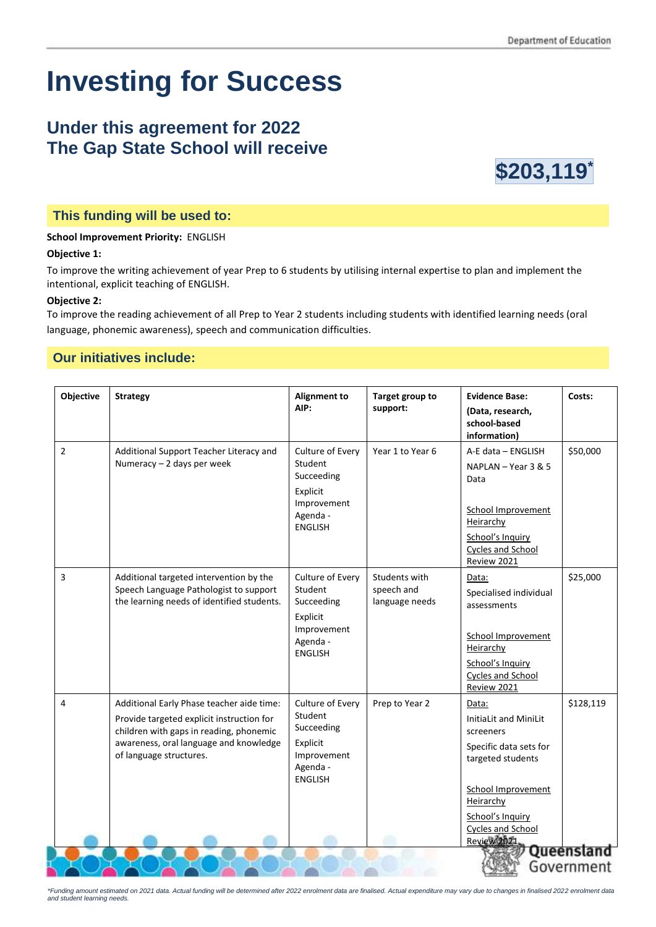# **Investing for Success**

# **Under this agreement for 2022 The Gap State School will receive**



### **This funding will be used to:**

#### **School Improvement Priority:** ENGLISH

#### **Objective 1:**

To improve the writing achievement of year Prep to 6 students by utilising internal expertise to plan and implement the intentional, explicit teaching of ENGLISH.

#### **Objective 2:**

To improve the reading achievement of all Prep to Year 2 students including students with identified learning needs (oral language, phonemic awareness), speech and communication difficulties.

## **Our initiatives include:**

| Objective      | <b>Strategy</b>                                                                                                                                                                                        | <b>Alignment to</b><br>AIP:                                                                        | Target group to<br>support:                   | <b>Evidence Base:</b><br>(Data, research,<br>school-based<br>information)                                                                                                                              | Costs:    |
|----------------|--------------------------------------------------------------------------------------------------------------------------------------------------------------------------------------------------------|----------------------------------------------------------------------------------------------------|-----------------------------------------------|--------------------------------------------------------------------------------------------------------------------------------------------------------------------------------------------------------|-----------|
| $\overline{2}$ | Additional Support Teacher Literacy and<br>Numeracy - 2 days per week                                                                                                                                  | Culture of Every<br>Student<br>Succeeding<br>Explicit<br>Improvement<br>Agenda -<br><b>ENGLISH</b> | Year 1 to Year 6                              | A-E data - ENGLISH<br>NAPLAN - Year 3 & 5<br>Data<br><b>School Improvement</b><br>Heirarchy<br>School's Inquiry<br>Cycles and School<br>Review 2021                                                    | \$50,000  |
| 3              | Additional targeted intervention by the<br>Speech Language Pathologist to support<br>the learning needs of identified students.                                                                        | Culture of Every<br>Student<br>Succeeding<br>Explicit<br>Improvement<br>Agenda -<br><b>ENGLISH</b> | Students with<br>speech and<br>language needs | Data:<br>Specialised individual<br>assessments<br>School Improvement<br>Heirarchy<br>School's Inquiry<br>Cycles and School<br>Review 2021                                                              | \$25,000  |
| 4              | Additional Early Phase teacher aide time:<br>Provide targeted explicit instruction for<br>children with gaps in reading, phonemic<br>awareness, oral language and knowledge<br>of language structures. | Culture of Every<br>Student<br>Succeeding<br>Explicit<br>Improvement<br>Agenda -<br><b>ENGLISH</b> | Prep to Year 2                                | Data:<br>InitiaLit and MiniLit<br>screeners<br>Specific data sets for<br>targeted students<br>School Improvement<br>Heirarchy<br>School's Inquiry<br><b>Cycles and School</b><br>Review 2021<br>Queens | \$128,119 |
| Government     |                                                                                                                                                                                                        |                                                                                                    |                                               |                                                                                                                                                                                                        |           |

*\*Funding amount estimated on 2021 data. Actual funding will be determined after 2022 enrolment data are finalised. Actual expenditure may vary due to changes in finalised 2022 enrolment data and student learning needs.*